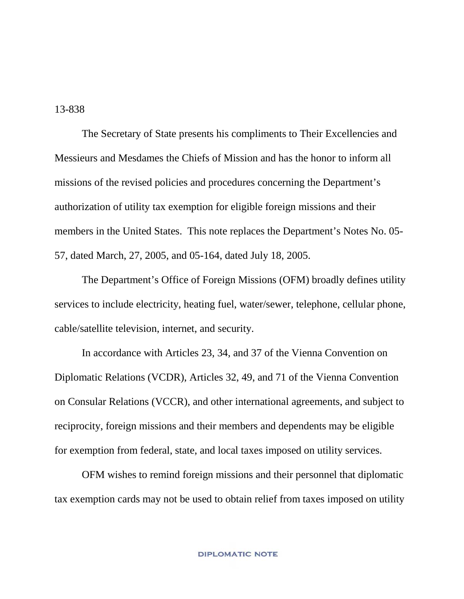13-838

The Secretary of State presents his compliments to Their Excellencies and Messieurs and Mesdames the Chiefs of Mission and has the honor to inform all missions of the revised policies and procedures concerning the Department's authorization of utility tax exemption for eligible foreign missions and their members in the United States. This note replaces the Department's Notes No. 05- 57, dated March, 27, 2005, and 05-164, dated July 18, 2005.

The Department's Office of Foreign Missions (OFM) broadly defines utility services to include electricity, heating fuel, water/sewer, telephone, cellular phone, cable/satellite television, internet, and security.

In accordance with Articles 23, 34, and 37 of the Vienna Convention on Diplomatic Relations (VCDR), Articles 32, 49, and 71 of the Vienna Convention on Consular Relations (VCCR), and other international agreements, and subject to reciprocity, foreign missions and their members and dependents may be eligible for exemption from federal, state, and local taxes imposed on utility services.

OFM wishes to remind foreign missions and their personnel that diplomatic tax exemption cards may not be used to obtain relief from taxes imposed on utility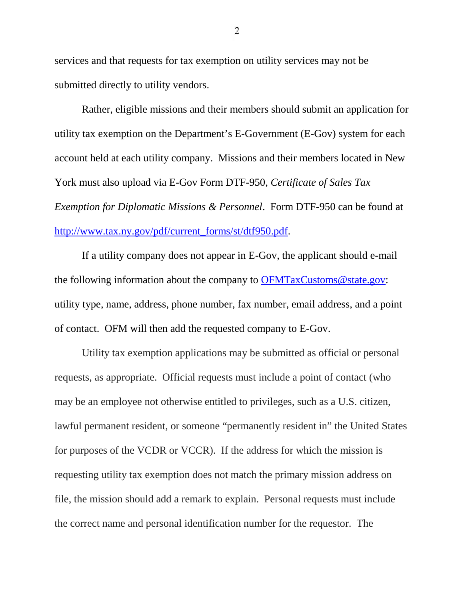services and that requests for tax exemption on utility services may not be submitted directly to utility vendors.

Rather, eligible missions and their members should submit an application for utility tax exemption on the Department's E-Government (E-Gov) system for each account held at each utility company. Missions and their members located in New York must also upload via E-Gov Form DTF-950, *Certificate of Sales Tax Exemption for Diplomatic Missions & Personnel*. Form DTF-950 can be found at [http://www.tax.ny.gov/pdf/current\\_forms/st/dtf950.pdf.](http://www.tax.ny.gov/pdf/current_forms/st/dtf950.pdf)

If a utility company does not appear in E-Gov, the applicant should e-mail the following information about the company to [OFMTaxCustoms@state.gov:](mailto:OFMTaxCustoms@state.gov) utility type, name, address, phone number, fax number, email address, and a point of contact. OFM will then add the requested company to E-Gov.

Utility tax exemption applications may be submitted as official or personal requests, as appropriate. Official requests must include a point of contact (who may be an employee not otherwise entitled to privileges, such as a U.S. citizen, lawful permanent resident, or someone "permanently resident in" the United States for purposes of the VCDR or VCCR). If the address for which the mission is requesting utility tax exemption does not match the primary mission address on file, the mission should add a remark to explain. Personal requests must include the correct name and personal identification number for the requestor. The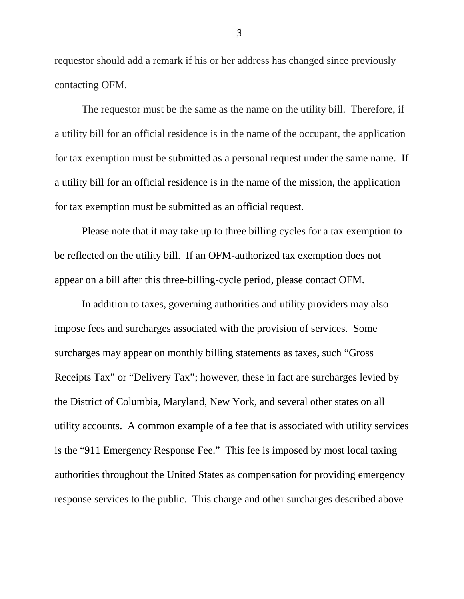requestor should add a remark if his or her address has changed since previously contacting OFM.

The requestor must be the same as the name on the utility bill. Therefore, if a utility bill for an official residence is in the name of the occupant, the application for tax exemption must be submitted as a personal request under the same name. If a utility bill for an official residence is in the name of the mission, the application for tax exemption must be submitted as an official request.

Please note that it may take up to three billing cycles for a tax exemption to be reflected on the utility bill. If an OFM-authorized tax exemption does not appear on a bill after this three-billing-cycle period, please contact OFM.

In addition to taxes, governing authorities and utility providers may also impose fees and surcharges associated with the provision of services. Some surcharges may appear on monthly billing statements as taxes, such "Gross Receipts Tax" or "Delivery Tax"; however, these in fact are surcharges levied by the District of Columbia, Maryland, New York, and several other states on all utility accounts. A common example of a fee that is associated with utility services is the "911 Emergency Response Fee." This fee is imposed by most local taxing authorities throughout the United States as compensation for providing emergency response services to the public. This charge and other surcharges described above

3